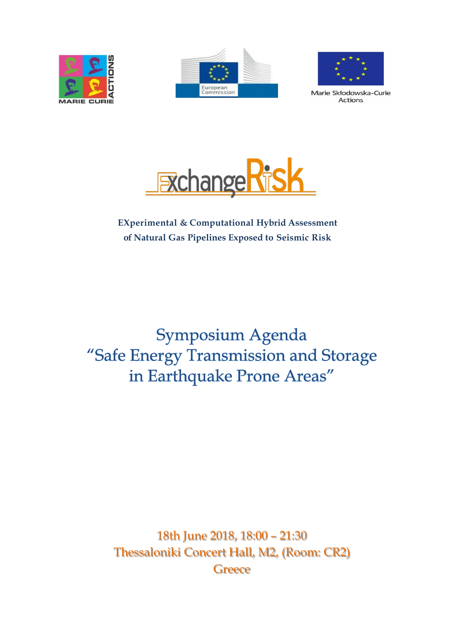





Marie Skłodowska-Curie **Actions** 



# **EXperimental & Computational Hybrid Assessment of Natural Gas Pipelines Exposed to Seismic Risk**

Symposium Agenda "Safe Energy Transmission and Storage in Earthquake Prone Areas"

18th June 2018, 18:00 – 21:30 Thessaloniki Concert Hall, M2, (Room: CR2) **Greece**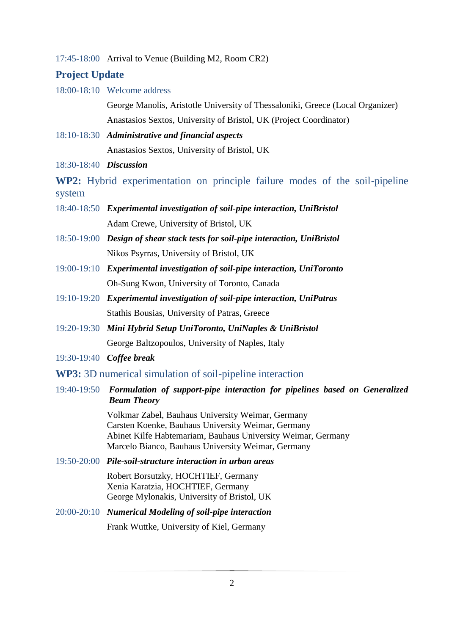17:45-18:00 Arrival to Venue (Building M2, Room CR2)

### **Project Update**

18:00-18:10 Welcome address

George Manolis, Aristotle University of Thessaloniki, Greece (Local Organizer) Anastasios Sextos, University of Bristol, UK (Project Coordinator)

- 18:10-18:30 *Administrative and financial aspects* Anastasios Sextos, University of Bristol, UK
- 18:30-18:40 *Discussion*

**WP2:** Hybrid experimentation on principle failure modes of the soil-pipeline system

- 18:40-18:50 *Experimental investigation of soil-pipe interaction, UniBristol* Adam Crewe, University of Bristol, UK
- 18:50-19:00 *Design of shear stack tests for soil-pipe interaction, UniBristol* Nikos Psyrras, University of Bristol, UK
- 19:00-19:10 *Experimental investigation of soil-pipe interaction, UniToronto* Oh-Sung Kwon, University of Toronto, Canada
- 19:10-19:20 *Experimental investigation of soil-pipe interaction, UniPatras* Stathis Bοusias, University of Patras, Greece
- 19:20-19:30 *Mini Hybrid Setup UniToronto, UniNaples & UniBristol* George Baltzopoulos, University of Naples, Italy
- 19:30-19:40 *Coffee break*
- **WP3:** 3D numerical simulation of soil-pipeline interaction
- 19:40-19:50 *Formulation of support-pipe interaction for pipelines based on Generalized Beam Theory*

Volkmar Zabel, Bauhaus University Weimar, Germany Carsten Koenke, Bauhaus University Weimar, Germany Abinet Kilfe Habtemariam, Bauhaus University Weimar, Germany Marcelo Bianco, Bauhaus University Weimar, Germany

19:50-20:00 *Pile-soil-structure interaction in urban areas* 

Robert Borsutzky, HOCHTIEF, Germany Xenia Karatzia, HOCHTIEF, Germany George Mylonakis, University of Bristol, UK

20:00-20:10 *Numerical Modeling of soil-pipe interaction*

Frank Wuttke, University of Kiel, Germany